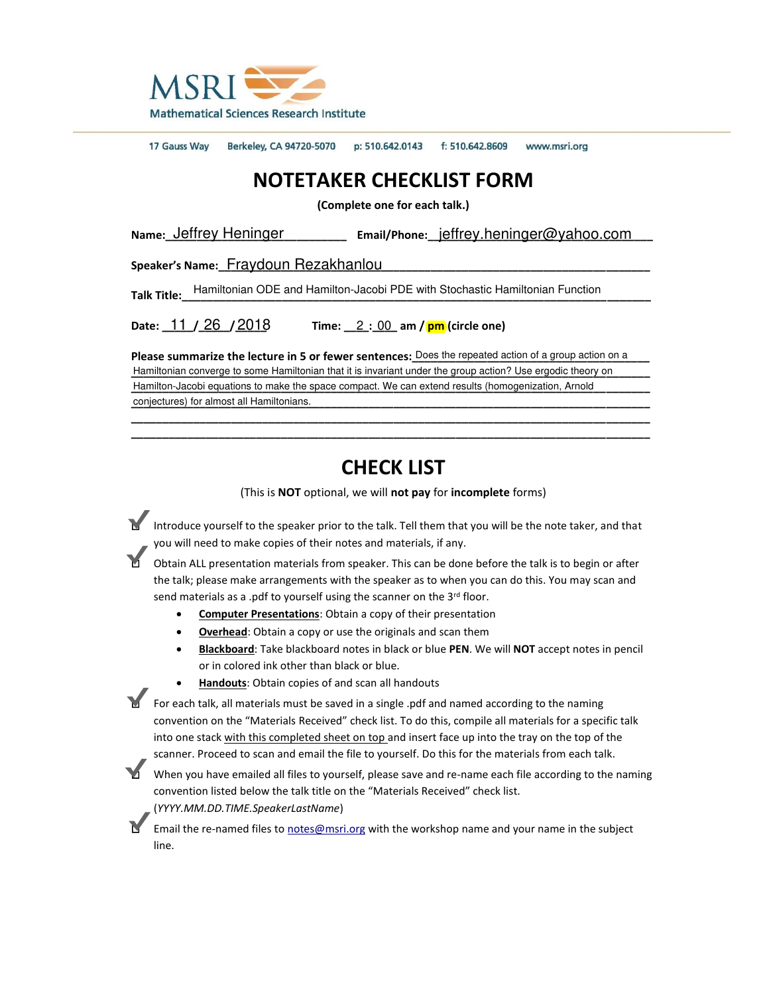

17 Gauss Way Berkeley, CA 94720-5070 p: 510.642.0143 f: 510.642.8609 www.msri.org

## **NOTETAKER CHECKLIST FORM**

**(Complete one for each talk.)**

Name: <u>Jeffrey Heninger</u> **Manually Email/Phone: jeffrey.heninger@vahoo.com** 

Speaker's Name: Fraydoun Rezakhanlou

Talk Title: Hamiltonian ODE and Hamilton-Jacobi PDE with Stochastic Hamiltonian Function

**Date:**  $11 / 26 / 2018$  Time:  $2 : 00$  am / **pm** (circle one)

Please summarize the lecture in 5 or fewer sentences: Does the repeated action of a group action on a Hamiltonian converge to some Hamiltonian that it is invariant under the group action? Use ergodic theory on Hamilton-Jacobi equations to make the space compact. We can extend results (homogenization, Arnold conjectures) for almost all Hamiltonians. Date:  $\underline{11}/\underline{26}/\underline{2018}$  Time:  $\underline{2}:\underline{00}$ <br>Please summarize the lecture in 5 or fewer senten<br>Hamiltonian converge to some Hamiltonian that it is invariated<br>Hamilton-Jacobi equations to make the space compact. W<br>co

## **CHECK LIST**

**\_\_\_\_\_\_\_\_\_\_\_\_\_\_\_\_\_\_\_\_\_\_\_\_\_\_\_\_\_\_\_\_\_\_\_\_\_\_\_\_\_\_\_\_\_\_\_\_\_\_\_\_\_\_\_\_\_\_\_\_\_\_\_\_\_\_\_\_\_\_\_\_\_\_\_\_\_\_\_\_\_\_\_ \_\_\_\_\_\_\_\_\_\_\_\_\_\_\_\_\_\_\_\_\_\_\_\_\_\_\_\_\_\_\_\_\_\_\_\_\_\_\_\_\_\_\_\_\_\_\_\_\_\_\_\_\_\_\_\_\_\_\_\_\_\_\_\_\_\_\_\_\_\_\_\_\_\_\_\_\_\_\_\_\_\_\_** 

(This is **NOT** optional, we will **not pay** for **incomplete** forms)

Introduce yourself to the speaker prior to the talk. Tell them that you will be the note taker, and that you will need to make copies of their notes and materials, if any.

□ Obtain ALL presentation materials from speaker. This can be done before the talk is to begin or after the talk; please make arrangements with the speaker as to when you can do this. You may scan and send materials as a .pdf to yourself using the scanner on the  $3<sup>rd</sup>$  floor.

- **Computer Presentations**: Obtain a copy of their presentation
- **Overhead**: Obtain a copy or use the originals and scan them
- **Blackboard**: Take blackboard notes in black or blue **PEN**. We will **NOT** accept notes in pencil or in colored ink other than black or blue.
- **Handouts**: Obtain copies of and scan all handouts

■ For each talk, all materials must be saved in a single .pdf and named according to the naming convention on the "Materials Received" check list. To do this, compile all materials for a specific talk into one stack with this completed sheet on top and insert face up into the tray on the top of the scanner. Proceed to scan and email the file to yourself. Do this for the materials from each talk. lie: <u>Jeffrey Heninger</u> **Email/Phone: <u>jeffrey.heninger@yahoo.com</u><br>
Meter's Name: Fraydoun Rezakhanlou<br>
Title: Hamiltonian ODE and Hamilton-Jacobi PDE with Stochastic Hamiltonian Function<br>
Interior file lecture in 5 or fev** 

When you have emailed all files to yourself, please save and re-name each file according to the naming convention listed below the talk title on the "Materials Received" check list. (*YYYY.MM.DD.TIME.SpeakerLastName*)

Email the re-named files to [notes@msri.org](mailto:notes@msri.org) with the workshop name and your name in the subject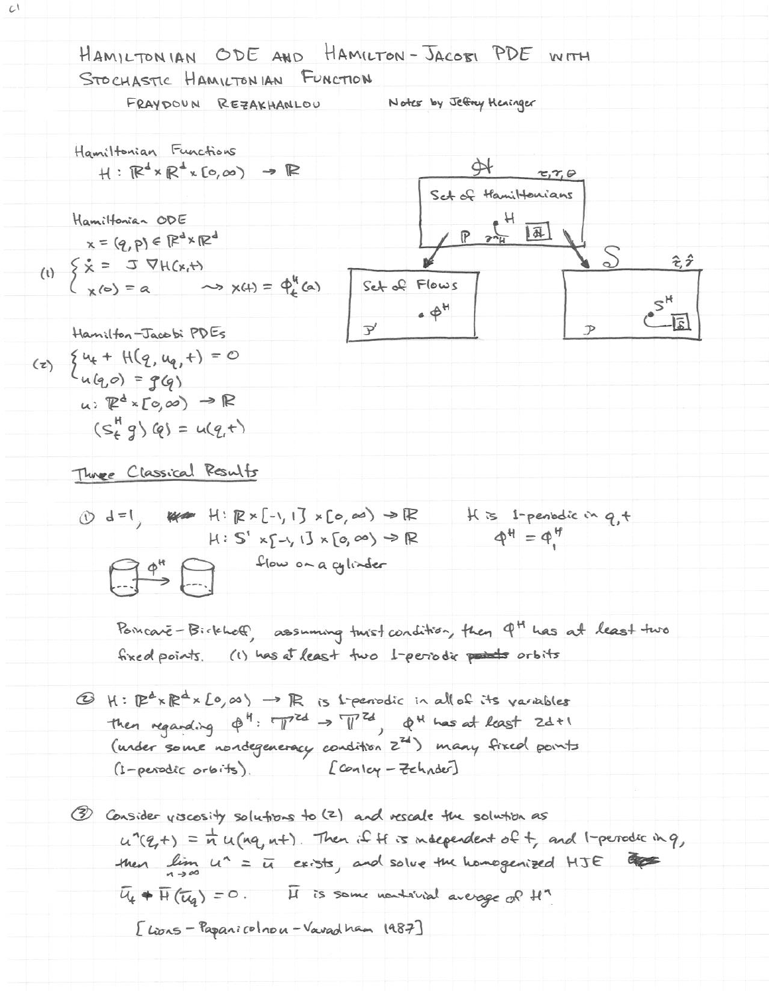HANLTONIAN ODE AND HAMLTON-TACBIP PDE WITH STOCHASTIC HANNLTON IAN ECHCHON

\nFeayboun Resarithatic to the

\nHamiltonian Functions

\nHamiltonian Functions

\nHamiltonian Functions

\nHamiltonian functions on

\nHeak (20,00) 
$$
\rightarrow
$$
 IR

\nSted of Hamiltonian

\nHeak (20,00)  $\rightarrow$  IR

\nHeak (20,00)  $\rightarrow$  IR

\nHeak (20,00)  $\rightarrow$  IR

\nHeak (20,01)  $\rightarrow$  IR

\nHeak (20,01)  $\rightarrow$  IR

\nHeak (20,02)  $\rightarrow$  IR

\nHeak (20,03)  $\rightarrow$  IR

\nHeak (20,04)  $\rightarrow$  IR

\nHeak (20,00)  $\rightarrow$  IR

\nHeak (20,00)  $\rightarrow$  IR

\nHeak (20,01)  $\rightarrow$  IR

\nHeak (20,02)  $\rightarrow$  IR

\nHeak (20,03)  $\rightarrow$  IR

\nHeak (20,04)  $\rightarrow$  IR

\nHeak (20,05)  $\rightarrow$  IR

\nHeak (20,06)  $\rightarrow$  IR

\nHeak (20,07)  $\rightarrow$  IR

\nHeak (20,08)  $\rightarrow$  IR

\nHeak (20,09)  $\rightarrow$  IR

\nHeak (20,00)  $\rightarrow$  IR

\nHeak (20,01)  $\rightarrow$  IR

\nHeak (20,03)  $\rightarrow$  IR

\nHeak (20,04)  $\rightarrow$  IR

\nHeak (20,05)  $\rightarrow$  IR

\nHeak (20,

 $\mathcal{L}^{\dagger}$